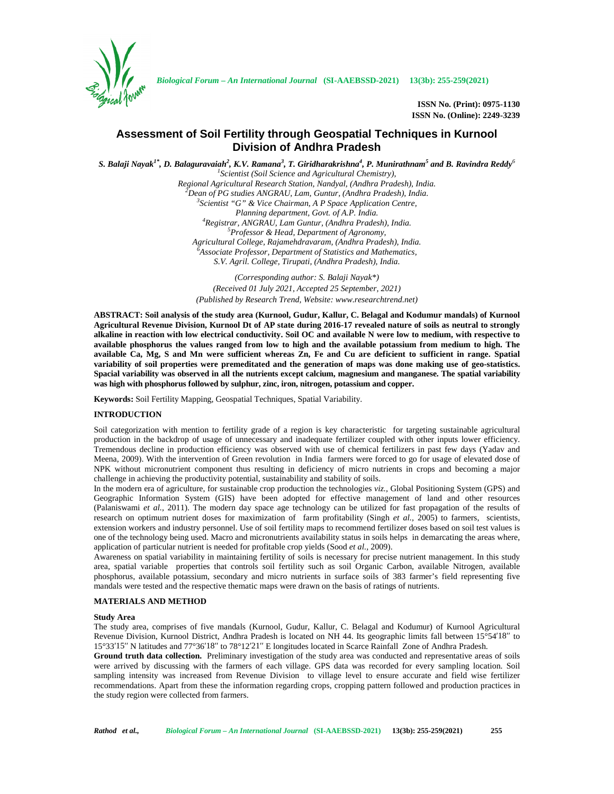

*Biological Forum – An International Journal* **(SI-AAEBSSD-2021) 13(3b): 255-259(2021)**

**ISSN No. (Print): 0975-1130 ISSN No. (Online): 2249-3239**

# **Assessment of Soil Fertility through Geospatial Techniques in Kurnool Division of Andhra Pradesh**

S. Balaji Nayak<sup>1\*</sup>, D. Balaguravaiah<sup>2</sup>, K.V. Ramana<sup>3</sup>, T. Giridharakrishna<sup>4</sup>, P. Munirathnam<sup>5</sup> and B. Ravindra Reddy<sup>6</sup> <sup>1</sup>*Scientist (Soil Science and Agricultural Chemistry),*<br>*Regional Agricultural Research Station, Nandyal, (Andhra Pradesh), India.* Dean of PG studies ANGRAU, Lam, Guntur, (Andhra Pradesh), India.<br><sup>3</sup>Scientist "G" & Vice Chairman, A P Space Application Centre, *Planning department, Govt. of A.P. India. <sup>4</sup>Registrar, ANGRAU, Lam Guntur, (Andhra Pradesh), India. <sup>5</sup>Professor & Head, Department of Agronomy, Agricultural College, Rajamehdravaram, (Andhra Pradesh), India. <sup>6</sup>Associate Professor, Department of Statistics and Mathematics, S.V. Agril. College, Tirupati, (Andhra Pradesh), India. (Corresponding author: S. Balaji Nayak\*)*

*(Received 01 July 2021, Accepted 25 September, 2021) (Published by Research Trend, Website: [www.researchtrend.net\)](www.researchtrend.net)*

**ABSTRACT: Soil analysis of the study area (Kurnool, Gudur, Kallur, C. Belagal and Kodumur mandals) of Kurnool Agricultural Revenue Division, Kurnool Dt of AP state during 2016-17 revealed nature of soils as neutral to strongly alkaline in reaction with low electrical conductivity. Soil OC and available N were low to medium, with respective to available phosphorus the values ranged from low to high and the available potassium from medium to high. The available Ca, Mg, S and Mn were sufficient whereas Zn, Fe and Cu are deficient to sufficient in range. Spatial variability of soil properties were premeditated and the generation of maps was done making use of geo-statistics. Spacial variability was observed in all the nutrients except calcium, magnesium and manganese. The spatial variability was high with phosphorus followed by sulphur, zinc, iron, nitrogen, potassium and copper.**

**Keywords:** Soil Fertility Mapping, Geospatial Techniques, Spatial Variability.

## **INTRODUCTION**

Soil categorization with mention to fertility grade of a region is key characteristic for targeting sustainable agricultural production in the backdrop of usage of unnecessary and inadequate fertilizer coupled with other inputs lower efficiency. Tremendous decline in production efficiency was observed with use of chemical fertilizers in past few days (Yadav and Meena, 2009). With the intervention of Green revolution in India farmers were forced to go for usage of elevated dose of NPK without micronutrient component thus resulting in deficiency of micro nutrients in crops and becoming a major challenge in achieving the productivity potential, sustainability and stability of soils.

In the modern era of agriculture, for sustainable crop production the technologies *viz.,* Global Positioning System (GPS) and Geographic Information System (GIS) have been adopted for effective management of land and other resources (Palaniswami *et al.,* 2011). The modern day space age technology can be utilized for fast propagation of the results of research on optimum nutrient doses for maximization of farm profitability (Singh *et al.,* 2005) to farmers, scientists, extension workers and industry personnel. Use of soil fertility maps to recommend fertilizer doses based on soil test values is one of the technology being used. Macro and micronutrients availability status in soils helps in demarcating the areas where, application of particular nutrient is needed for profitable crop yields (Sood *et al.,* 2009).

Awareness on spatial variability in maintaining fertility of soils is necessary for precise nutrient management. In this study area, spatial variable properties that controls soil fertility such as soil Organic Carbon, available Nitrogen, available phosphorus, available potassium, secondary and micro nutrients in surface soils of 383 farmer's field representing five mandals were tested and the respective thematic maps were drawn on the basis of ratings of nutrients.

## **MATERIALS AND METHOD**

### **Study Area**

The study area, comprises of five mandals (Kurnool, Gudur, Kallur, C. Belagal and Kodumur) of Kurnool Agricultural Revenue Division, Kurnool District, Andhra Pradesh is located on NH 44. Its geographic limits fall between 15°54<sup>18</sup> to 15°33′15′ N latitudes and 77°36′18′ to 78°12′ 21′ E longitudes located in Scarce Rainfall Zone of Andhra Pradesh.

**Ground truth data collection.** Preliminary investigation of the study area was conducted and representative areas of soils were arrived by discussing with the farmers of each village. GPS data was recorded for every sampling location. Soil sampling intensity was increased from Revenue Division to village level to ensure accurate and field wise fertilizer recommendations. Apart from these the information regarding crops, cropping pattern followed and production practices in the study region were collected from farmers.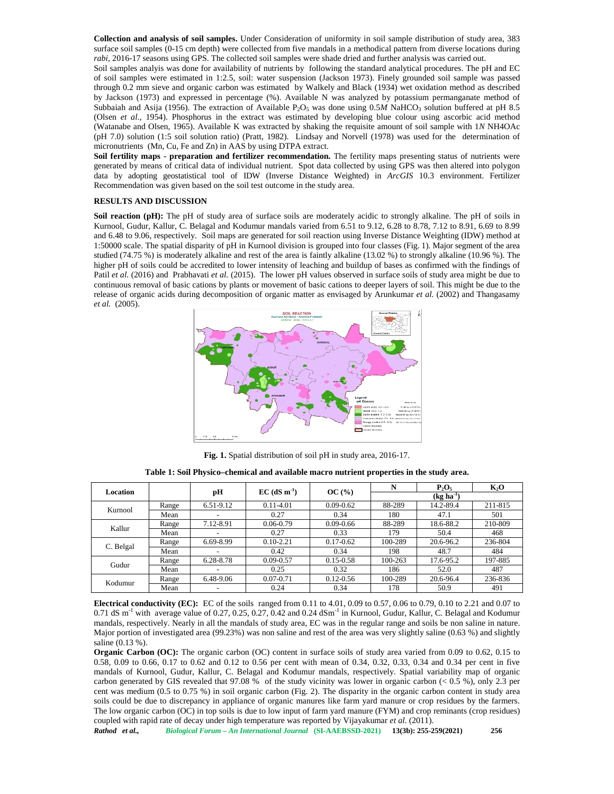**Collection and analysis of soil samples.** Under Consideration of uniformity in soil sample distribution of study area, 383 surface soil samples (0-15 cm depth) were collected from five mandals in a methodical pattern from diverse locations during *rabi,* 2016-17 seasons using GPS. The collected soil samples were shade dried and further analysis was carried out.

Soil samples analyis was done for availability of nutrients by following the standard analytical procedures. The pH and EC of soil samples were estimated in 1:2.5, soil: water suspension (Jackson 1973). Finely grounded soil sample was passed through 0.2 mm sieve and organic carbon was estimated by Walkely and Black (1934) wet oxidation method as described by Jackson (1973) and expressed in percentage (%). Available N was analyzed by potassium permanganate method of Subbaiah and Asija (1956). The extraction of Available  $P_2O_5$  was done using 0.5*M* NaHCO<sub>3</sub> solution buffered at pH 8.5 (Olsen *et al.,* 1954). Phosphorus in the extract was estimated by developing blue colour using ascorbic acid method (Watanabe and Olsen, 1965). Available K was extracted by shaking the requisite amount of soil sample with 1*N* NH4OAc (pH 7.0) solution (1:5 soil solution ratio) (Pratt, 1982). Lindsay and Norvell (1978) was used for the determination of micronutrients (Mn, Cu, Fe and Zn) in AAS by using DTPA extract.

**Soil fertility maps - preparation and fertilizer recommendation.** The fertility maps presenting status of nutrients were generated by means of critical data of individual nutrient. Spot data collected by using GPS was then altered into polygon data by adopting geostatistical tool of IDW (Inverse Distance Weighted) in *ArcGIS* 10.3 environment. Fertilizer Recommendation was given based on the soil test outcome in the study area.

## **RESULTS AND DISCUSSION**

**Soil reaction (pH):** The pH of study area of surface soils are moderately acidic to strongly alkaline. The pH of soils in Kurnool, Gudur, Kallur, C. Belagal and Kodumur mandals varied from 6.51 to 9.12, 6.28 to 8.78, 7.12 to 8.91, 6.69 to 8.99 and 6.48 to 9.06, respectively. Soil maps are generated for soil reaction using Inverse Distance Weighting (IDW) method at 1:50000 scale. The spatial disparity of pH in Kurnool division is grouped into four classes (Fig. 1). Major segment of the area studied (74.75 %) is moderately alkaline and rest of the area is faintly alkaline (13.02 %) to strongly alkaline (10.96 %). The higher pH of soils could be accredited to lower intensity of leaching and buildup of bases as confirmed with the findings of Patil *et al.* (2016) and Prabhavati *et al.* (2015). The lower pH values observed in surface soils of study area might be due to continuous removal of basic cations by plants or movement of basic cations to deeper layers of soil. This might be due to the release of organic acids during decomposition of organic matter as envisaged by Arunkumar *et al.* (2002) and Thangasamy *et al.* (2005).



**Fig. 1.** Spatial distribution of soil pH in study area, 2016-17.

**Table 1: Soil Physico–chemical and available macro nutrient properties in the study area.**

|           |       | рH                       | $EC$ (dS m <sup>-1</sup> ) |               |                               | $P_2O_5$  | $K_2O$  |
|-----------|-------|--------------------------|----------------------------|---------------|-------------------------------|-----------|---------|
| Location  |       |                          |                            | OC(%)         | $(\text{kg} \text{ ha}^{-1})$ |           |         |
| Kurnool   | Range | 6.51-9.12                | $0.11 - 4.01$              | $0.09 - 0.62$ | 88-289                        | 14.2-89.4 | 211-815 |
|           | Mean  | $\overline{\phantom{0}}$ | 0.27                       | 0.34          | 180                           | 47.1      | 501     |
| Kallur    | Range | 7.12-8.91                | $0.06 - 0.79$              | $0.09 - 0.66$ | 88-289                        | 18.6-88.2 | 210-809 |
|           | Mean  |                          | 0.27                       | 0.33          | 179.                          | 50.4      | 468     |
| C. Belgal | Range | 6.69-8.99                | $0.10 - 2.21$              | $0.17 - 0.62$ | 100-289                       | 20.6-96.2 | 236-804 |
|           | Mean  |                          | 0.42                       | 0.34          | 198                           | 48.7      | 484     |
| Gudur     | Range | 6.28-8.78                | $0.09 - 0.57$              | $0.15 - 0.58$ | 100-263                       | 17.6-95.2 | 197-885 |
|           | Mean  |                          | 0.25                       | 0.32          | 186                           | 52.0      | 487     |
| Kodumur   | Range | 6.48-9.06                | $0.07 - 0.71$              | $0.12 - 0.56$ | 100-289                       | 20.6-96.4 | 236-836 |
|           | Mean  |                          | 0.24                       | 0.34          | 178                           | 50.9      | 491     |

**Electrical conductivity (EC):** EC of the soils ranged from 0.11 to 4.01, 0.09 to 0.57, 0.06 to 0.79, 0.10 to 2.21 and 0.07 to 0.71 dS m<sup>-1</sup> with average value of 0.27, 0.25, 0.27, 0.42 and 0.24 dSm<sup>-1</sup> in Kurnool, Gudur, Kallur, C. Belagal and Kodumur mandals, respectively. Nearly in all the mandals of study area, EC was in the regular range and soils be non saline in nature. Major portion of investigated area (99.23%) was non saline and rest of the area was very slightly saline (0.63 %) and slightly saline (0.13 %).

**Organic Carbon (OC):** The organic carbon (OC) content in surface soils of study area varied from 0.09 to 0.62, 0.15 to 0.58, 0.09 to 0.66, 0.17 to 0.62 and 0.12 to 0.56 per cent with mean of 0.34, 0.32, 0.33, 0.34 and 0.34 per cent in five mandals of Kurnool, Gudur, Kallur, C. Belagal and Kodumur mandals, respectively. Spatial variability map of organic carbon generated by GIS revealed that 97.08 % of the study vicinity was lower in organic carbon  $(< 0.5 \%)$ , only 2.3 per cent was medium (0.5 to 0.75 %) in soil organic carbon (Fig. 2). The disparity in the organic carbon content in study area soils could be due to discrepancy in appliance of organic manures like farm yard manure or crop residues by the farmers. The low organic carbon (OC) in top soils is due to low input of farm yard manure (FYM) and crop reminants (crop residues) coupled with rapid rate of decay under high temperature was reported by Vijayakumar *et al*. (2011).

*Rathod et al., Biological Forum – An International Journal* **(SI-AAEBSSD-2021) 13(3b): 255-259(2021) 256**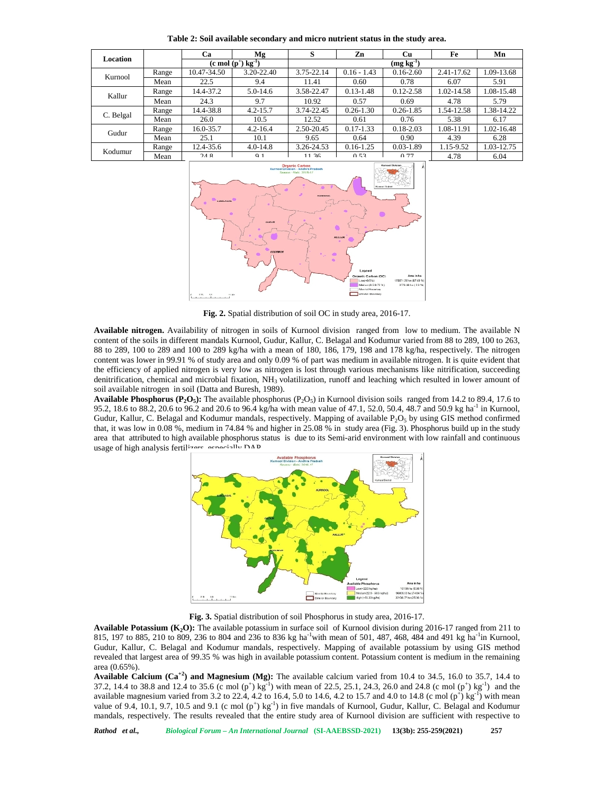| Location  |       | Ca                              | Mg             | S              | Zn            | Cu            | Fe         | Mn         |
|-----------|-------|---------------------------------|----------------|----------------|---------------|---------------|------------|------------|
|           |       | $(c \mod(p^+) \text{ kg}^{-1})$ |                | $(mg kg^{-1})$ |               |               |            |            |
| Kurnool   | Range | 10.47-34.50                     | 3.20-22.40     | 3.75-22.14     | $0.16 - 1.43$ | $0.16 - 2.60$ | 2.41-17.62 | 1.09-13.68 |
|           | Mean  | 22.5                            | 9.4            | 11.41          | 0.60          | 0.78          | 6.07       | 5.91       |
| Kallur    | Range | 14.4-37.2                       | $5.0 - 14.6$   | 3.58-22.47     | $0.13 - 1.48$ | $0.12 - 2.58$ | 1.02-14.58 | 1.08-15.48 |
|           | Mean  | 24.3                            | 9.7            | 10.92          | 0.57          | 0.69          | 4.78       | 5.79       |
| C. Belgal | Range | 14.4-38.8                       | $4.2 - 15.7$   | 3.74-22.45     | $0.26 - 1.30$ | $0.26 - 1.85$ | 1.54-12.58 | 1.38-14.22 |
|           | Mean  | 26.0                            | 10.5           | 12.52          | 0.61          | 0.76          | 5.38       | 6.17       |
| Gudur     | Range | 16.0-35.7                       | $4.2 - 16.4$   | 2.50-20.45     | $0.17 - 1.33$ | $0.18 - 2.03$ | 1.08-11.91 | 1.02-16.48 |
|           | Mean  | 25.1                            | 10.1           | 9.65           | 0.64          | 0.90          | 4.39       | 6.28       |
| Kodumur   | Range | 12.4-35.6                       | $4.0 - 14.8$   | 3.26-24.53     | $0.16 - 1.25$ | $0.03 - 1.89$ | 1.15-9.52  | 1.03-12.75 |
|           | Mean  | 24.8                            | Q <sub>1</sub> | 1136           | 0.53          | 0.77          | 4.78       | 6.04       |

**Table 2: Soil available secondary and micro nutrient status in the study area.**



**Fig. 2.** Spatial distribution of soil OC in study area, 2016-17.

**Available nitrogen.** Availability of nitrogen in soils of Kurnool division ranged from low to medium. The available N content of the soils in different mandals Kurnool, Gudur, Kallur, C. Belagal and Kodumur varied from 88 to 289, 100 to 263, 88 to 289, 100 to 289 and 100 to 289 kg/ha with a mean of 180, 186, 179, 198 and 178 kg/ha, respectively. The nitrogen content was lower in 99.91 % of study area and only 0.09 % of part was medium in available nitrogen. It is quite evident that the efficiency of applied nitrogen is very low as nitrogen is lost through various mechanisms like nitrification, succeeding denitrification, chemical and microbial fixation, NH<sub>3</sub> volatilization, runoff and leaching which resulted in lower amount of soil available nitrogen in soil (Datta and Buresh, 1989).

**Available Phosphorus (** $P_2O_5$ **): The available phosphorus (** $P_2O_5$ **) in Kurnool division soils ranged from 14.2 to 89.4, 17.6 to** 95.2, 18.6 to 88.2, 20.6 to 96.2 and 20.6 to 96.4 kg/ha with mean value of 47.1, 52.0, 50.4, 48.7 and 50.9 kg ha<sup>-1</sup> in Kurnool, Gudur, Kallur, C. Belagal and Kodumur mandals, respectively. Mapping of available P<sub>2</sub>O<sub>5</sub> by using GIS method confirmed that, it was low in 0.08 %, medium in 74.84 % and higher in 25.08 % in study area (Fig. 3). Phosphorus build up in the study area that attributed to high available phosphorus status is due to its Semi-arid environment with low rainfall and continuous usage of high analysis fertilizare, especially DAD



**Fig. 3.** Spatial distribution of soil Phosphorus in study area, 2016-17.

**Available Potassium (K2O):** The available potassium in surface soil of Kurnool division during 2016-17 ranged from 211 to 815, 197 to 885, 210 to 809, 236 to 804 and 236 to 836 kg ha<sup>-1</sup>with mean of 501, 487, 468, 484 and 491 kg ha<sup>-1</sup>in Kurnool, Gudur, Kallur, C. Belagal and Kodumur mandals, respectively. Mapping of available potassium by using GIS method revealed that largest area of 99.35 % was high in available potassium content. Potassium content is medium in the remaining area (0.65%).

**Available Calcium (Ca+2) and Magnesium (Mg):** The available calcium varied from 10.4 to 34.5, 16.0 to 35.7, 14.4 to 37.2, 14.4 to 38.8 and 12.4 to 35.6 (c mol (p<sup>+</sup>) kg<sup>-1</sup>) with mean of 22.5, 25.1, 24.3, 26.0 and 24.8 (c mol (p<sup>+</sup>) kg<sup>-1</sup>) and the available magnesium varied from 3.2 to 22.4, 4.2 to 16.4, 5.0 to 14.6, 4.2 to 15.7 and 4.0 to 14.8 (c mol (p<sup>+</sup>) kg<sup>-1</sup>) with mean value of 9.4,  $10.1$ , 9.7, 10.5 and 9.1 (c mol  $(p^+)$  kg<sup>-1</sup>) in five mandals of Kurnool, Gudur, Kallur, C. Belagal and Kodumur mandals, respectively. The results revealed that the entire study area of Kurnool division are sufficient with respective to

*Rathod et al., Biological Forum – An International Journal* **(SI-AAEBSSD-2021) 13(3b): 255-259(2021) 257**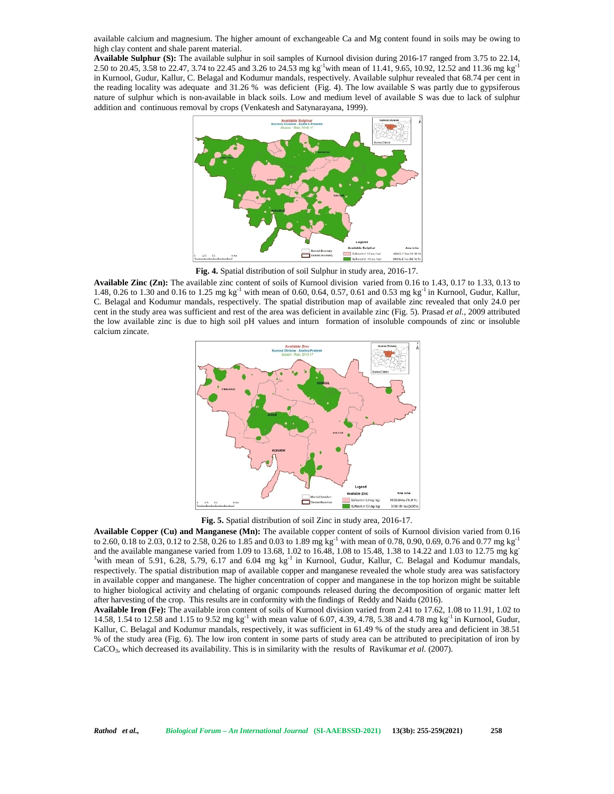available calcium and magnesium. The higher amount of exchangeable Ca and Mg content found in soils may be owing to high clay content and shale parent material.

**Available Sulphur (S):** The available sulphur in soil samples of Kurnool division during 2016-17 ranged from 3.75 to 22.14, 2.50 to 20.45, 3.58 to 22.47, 3.74 to 22.45 and 3.26 to 24.53 mg kg-1with mean of 11.41, 9.65, 10.92, 12.52 and 11.36 mg kg-1 in Kurnool, Gudur, Kallur, C. Belagal and Kodumur mandals, respectively. Available sulphur revealed that 68.74 per cent in the reading locality was adequate and 31.26 % was deficient (Fig. 4). The low available S was partly due to gypsiferous nature of sulphur which is non-available in black soils. Low and medium level of available S was due to lack of sulphur addition and continuous removal by crops (Venkatesh and Satynarayana, 1999).



**Fig. 4.** Spatial distribution of soil Sulphur in study area, 2016-17.

**Available Zinc (Zn):** The available zinc content of soils of Kurnool division varied from 0.16 to 1.43, 0.17 to 1.33, 0.13 to 1.48, 0.26 to 1.30 and 0.16 to 1.25 mg kg<sup>-1</sup> with mean of 0.60, 0.64, 0.57, 0.61 and 0.53 mg kg<sup>-1</sup> in Kurnool, Gudur, Kallur, C. Belagal and Kodumur mandals, respectively. The spatial distribution map of available zinc revealed that only 24.0 per cent in the study area was sufficient and rest of the area was deficient in available zinc (Fig. 5). Prasad *et al.,* 2009 attributed the low available zinc is due to high soil pH values and inturn formation of insoluble compounds of zinc or insoluble calcium zincate.



**Fig. 5.** Spatial distribution of soil Zinc in study area, 2016-17.

**Available Copper (Cu) and Manganese (Mn):** The available copper content of soils of Kurnool division varied from 0.16 to 2.60, 0.18 to 2.03, 0.12 to 2.58, 0.26 to 1.85 and 0.03 to 1.89 mg kg<sup>-1</sup> with mean of 0.78, 0.90, 0.69, 0.76 and 0.77 mg kg<sup>-1</sup> and the available manganese varied from 1.09 to 13.68, 1.02 to 16.48, 1.08 to 15.48, 1.38 and the available manganese varied from 1.09 to 13.68, 1.02 to 16.48, 1.08 to 15.48, 1.38 to 14.22 and 1.03 to 12.75 mg kg<sup>-1</sup> with mean of 5.91, 6.28, 5.79, 6.17 and 6.04 mg kg<sup>-1</sup> in Kurnool, Gudur, Kallur, C. Belagal a respectively. The spatial distribution map of available copper and manganese revealed the whole study area was satisfactory in available copper and manganese. The higher concentration of copper and manganese in the top horizon might be suitable to higher biological activity and chelating of organic compounds released during the decomposition of organic matter left after harvesting of the crop. This results are in conformity with the findings of Reddy and Naidu (2016).

**Available Iron (Fe):** The available iron content of soils of Kurnool division varied from 2.41 to 17.62, 1.08 to 11.91, 1.02 to 14.58, 1.54 to 12.58 and 1.15 to 9.52 mg kg<sup>-1</sup> with mean value of 6.07, 4.39, 4.78, 5.38 and 4.78 mg kg<sup>-1</sup> in Kurnool, Gudur, Kallur, C. Belagal and Kodumur mandals, respectively, it was sufficient in 61.49 % of the study area and deficient in 38.51 % of the study area (Fig. 6). The low iron content in some parts of study area can be attributed to precipitation of iron by CaCO<sub>3</sub>, which decreased its availability. This is in similarity with the results of Ravikumar *et al.* (2007).